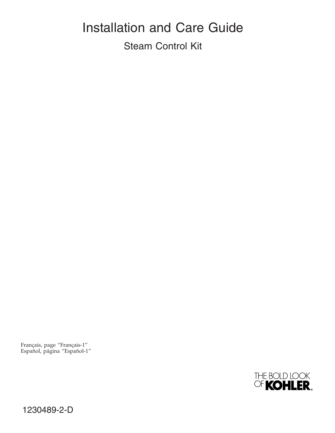# Installation and Care Guide Steam Control Kit

Français, page "Français-1" Español, página "Español-1"



1230489-2-D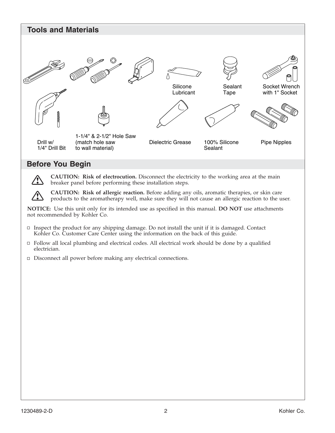

## **Before You Begin**

**CAUTION: Risk of electrocution.** Disconnect the electricity to the working area at the main breaker panel before performing these installation steps.

**CAUTION: Risk of allergic reaction.** Before adding any oils, aromatic therapies, or skin care products to the aromatherapy well, make sure they will not cause an allergic reaction to the user.

**NOTICE:** Use this unit only for its intended use as specified in this manual. **DO NOT** use attachments not recommended by Kohler Co.

- $\Box$  Inspect the product for any shipping damage. Do not install the unit if it is damaged. Contact Kohler Co. Customer Care Center using the information on the back of this guide.
- Follow all local plumbing and electrical codes. All electrical work should be done by a qualified electrician.
- $\Box$  Disconnect all power before making any electrical connections.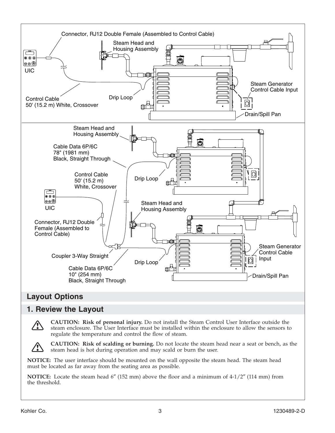

## **Layout Options**

## **1. Review the Layout**



**CAUTION: Risk of personal injury.** Do not install the Steam Control User Interface outside the steam enclosure. The User Interface must be installed within the enclosure to allow the sensors to regulate the temperature and control the flow of steam.



**CAUTION: Risk of scalding or burning.** Do not locate the steam head near a seat or bench, as the steam head is hot during operation and may scald or burn the user.

**NOTICE:** The user interface should be mounted on the wall opposite the steam head. The steam head must be located as far away from the seating area as possible.

**NOTICE:** Locate the steam head 6″ (152 mm) above the floor and a minimum of 4-1/2″ (114 mm) from the threshold.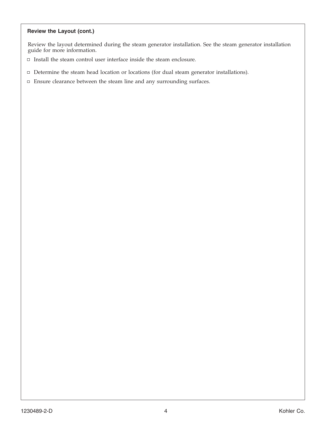#### **Review the Layout (cont.)**

Review the layout determined during the steam generator installation. See the steam generator installation guide for more information.

- $\Box$  Install the steam control user interface inside the steam enclosure.
- Determine the steam head location or locations (for dual steam generator installations).
- $\Box$  Ensure clearance between the steam line and any surrounding surfaces.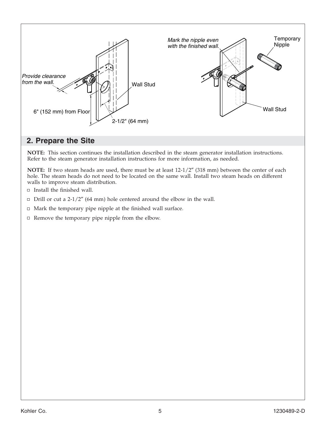

## **2. Prepare the Site**

**NOTE:** This section continues the installation described in the steam generator installation instructions. Refer to the steam generator installation instructions for more information, as needed.

**NOTE:** If two steam heads are used, there must be at least 12-1/2″ (318 mm) between the center of each hole. The steam heads do not need to be located on the same wall. Install two steam heads on different walls to improve steam distribution.

- $\Box$  Install the finished wall.
- $\Box$  Drill or cut a 2-1/2" (64 mm) hole centered around the elbow in the wall.
- $\Box$  Mark the temporary pipe nipple at the finished wall surface.
- $\Box$  Remove the temporary pipe nipple from the elbow.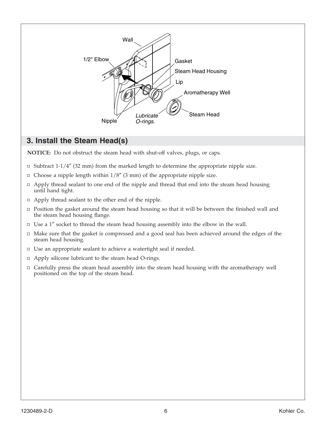

## **3. Install the Steam Head(s)**

**NOTICE:** Do not obstruct the steam head with shut-off valves, plugs, or caps.

- $\Box$  Subtract 1-1/4" (32 mm) from the marked length to determine the appropriate nipple size.
- $\Box$  Choose a nipple length within 1/8" (3 mm) of the appropriate nipple size.
- $\Box$  Apply thread sealant to one end of the nipple and thread that end into the steam head housing until hand tight.
- Apply thread sealant to the other end of the nipple.
- $\Box$  Position the gasket around the steam head housing so that it will be between the finished wall and the steam head housing flange.
- $\Box$  Use a 1" socket to thread the steam head housing assembly into the elbow in the wall.
- $\Box$  Make sure that the gasket is compressed and a good seal has been achieved around the edges of the steam head housing.
- Use an appropriate sealant to achieve a watertight seal if needed.
- $\Box$  Apply silicone lubricant to the steam head O-rings.
- Carefully press the steam head assembly into the steam head housing with the aromatherapy well positioned on the top of the steam head.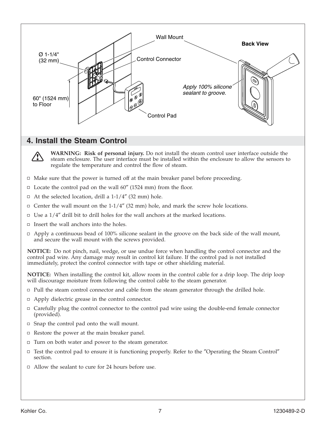

## **4. Install the Steam Control**



**WARNING: Risk of personal injury.** Do not install the steam control user interface outside the steam enclosure. The user interface must be installed within the enclosure to allow the sensors to regulate the temperature and control the flow of steam.

- $\Box$  Make sure that the power is turned off at the main breaker panel before proceeding.
- $\Box$  Locate the control pad on the wall 60" (1524 mm) from the floor.
- $\Box$  At the selected location, drill a 1-1/4" (32 mm) hole.
- $\Box$  Center the wall mount on the 1-1/4" (32 mm) hole, and mark the screw hole locations.
- $\Box$  Use a 1/4" drill bit to drill holes for the wall anchors at the marked locations.
- $\Box$  Insert the wall anchors into the holes.
- $\Box$  Apply a continuous bead of 100% silicone sealant in the groove on the back side of the wall mount, and secure the wall mount with the screws provided.

**NOTICE:** Do not pinch, nail, wedge, or use undue force when handling the control connector and the control pad wire. Any damage may result in control kit failure. If the control pad is not installed immediately, protect the control connector with tape or other shielding material.

**NOTICE:** When installing the control kit, allow room in the control cable for a drip loop. The drip loop will discourage moisture from following the control cable to the steam generator.

- $\Box$  Pull the steam control connector and cable from the steam generator through the drilled hole.
- □ Apply dielectric grease in the control connector.
- $\Box$  Carefully plug the control connector to the control pad wire using the double-end female connector (provided).
- $\Box$  Snap the control pad onto the wall mount.
- $\Box$  Restore the power at the main breaker panel.
- $\Box$  Turn on both water and power to the steam generator.
- $\Box$  Test the control pad to ensure it is functioning properly. Refer to the "Operating the Steam Control" section.
- $\Box$  Allow the sealant to cure for 24 hours before use.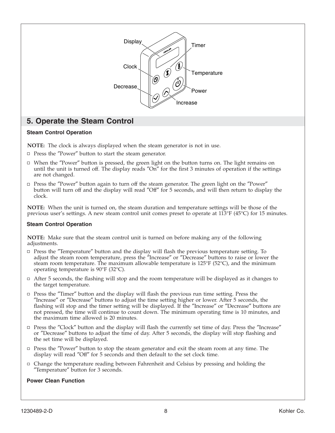

## **5. Operate the Steam Control**

#### **Steam Control Operation**

**NOTE:** The clock is always displayed when the steam generator is not in use.

- $\Box$  Press the "Power" button to start the steam generator.
- $\Box$  When the "Power" button is pressed, the green light on the button turns on. The light remains on until the unit is turned off. The display reads ″On″ for the first 3 minutes of operation if the settings are not changed.
- $\Box$  Press the "Power" button again to turn off the steam generator. The green light on the "Power" button will turn off and the display will read ″Off″ for 5 seconds, and will then return to display the clock.

**NOTE:** When the unit is turned on, the steam duration and temperature settings will be those of the previous user's settings. A new steam control unit comes preset to operate at 113°F (45°C) for 15 minutes.

#### **Steam Control Operation**

**NOTE:** Make sure that the steam control unit is turned on before making any of the following adjustments.

- Press the ″Temperature″ button and the display will flash the previous temperature setting. To adjust the steam room temperature, press the ″Increase″ or ″Decrease″ buttons to raise or lower the steam room temperature. The maximum allowable temperature is 125°F (52°C), and the minimum operating temperature is 90°F (32°C).
- $\Box$  After 5 seconds, the flashing will stop and the room temperature will be displayed as it changes to the target temperature.
- □ Press the "Timer" button and the display will flash the previous run time setting. Press the ″Increase″ or ″Decrease″ buttons to adjust the time setting higher or lower. After 5 seconds, the flashing will stop and the timer setting will be displayed. If the ″Increase″ or ″Decrease″ buttons are not pressed, the time will continue to count down. The minimum operating time is 10 minutes, and the maximum time allowed is 20 minutes.
- Press the ″Clock″ button and the display will flash the currently set time of day. Press the ″Increase″ or ″Decrease″ buttons to adjust the time of day. After 5 seconds, the display will stop flashing and the set time will be displayed.
- $\Box$  Press the "Power" button to stop the steam generator and exit the steam room at any time. The display will read ″Off″ for 5 seconds and then default to the set clock time.
- Change the temperature reading between Fahrenheit and Celsius by pressing and holding the ″Temperature″ button for 3 seconds.

#### **Power Clean Function**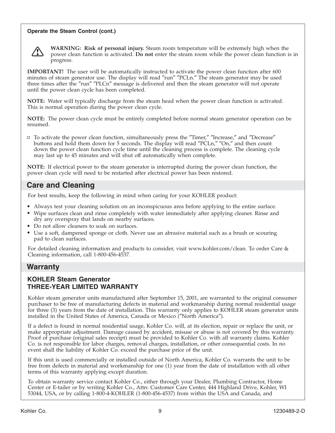#### **Operate the Steam Control (cont.)**



**WARNING: Risk of personal injury.** Steam room temperature will be extremely high when the power clean function is activated. **Do not** enter the steam room while the power clean function is in progress.

**IMPORTANT!** The user will be automatically instructed to activate the power clean function after 600 minutes of steam generator use. The display will read ″run″ ″PCLn.″ The steam generator may be used three times after the ″run″ ″PLCn″ message is delivered and then the steam generator will not operate until the power clean cycle has been completed.

**NOTE:** Water will typically discharge from the steam head when the power clean function is activated. This is normal operation during the power clean cycle.

**NOTE:** The power clean cycle must be entirely completed before normal steam generator operation can be resumed.

To activate the power clean function, simultaneously press the ″Timer,″ ″Increase,″ and ″Decrease″ buttons and hold them down for 5 seconds. The display will read ″PCLn,″ ″On,″ and then count down the power clean function cycle time until the cleaning process is complete. The cleaning cycle may last up to 45 minutes and will shut off automatically when complete.

**NOTE:** If electrical power to the steam generator is interrupted during the power clean function, the power clean cycle will need to be restarted after electrical power has been restored.

## **Care and Cleaning**

For best results, keep the following in mind when caring for your KOHLER product:

- Always test your cleaning solution on an inconspicuous area before applying to the entire surface.
- Wipe surfaces clean and rinse completely with water immediately after applying cleaner. Rinse and dry any overspray that lands on nearby surfaces.
- Do not allow cleaners to soak on surfaces.
- Use a soft, dampened sponge or cloth. Never use an abrasive material such as a brush or scouring pad to clean surfaces.

For detailed cleaning information and products to consider, visit www.kohler.com/clean. To order Care & Cleaning information, call 1-800-456-4537.

## **Warranty**

#### **KOHLER Steam Generator THREE-YEAR LIMITED WARRANTY**

Kohler steam generator units manufactured after September 15, 2001, are warranted to the original consumer purchaser to be free of manufacturing defects in material and workmanship during normal residential usage for three (3) years from the date of installation. This warranty only applies to KOHLER steam generator units installed in the United States of America, Canada or Mexico (″North America″).

If a defect is found in normal residential usage, Kohler Co. will, at its election, repair or replace the unit, or make appropriate adjustment. Damage caused by accident, misuse or abuse is not covered by this warranty. Proof of purchase (original sales receipt) must be provided to Kohler Co. with all warranty claims. Kohler Co. is not responsible for labor charges, removal charges, installation, or other consequential costs. In no event shall the liability of Kohler Co. exceed the purchase price of the unit.

If this unit is used commercially or installed outside of North America, Kohler Co. warrants the unit to be free from defects in material and workmanship for one (1) year from the date of installation with all other terms of this warranty applying except duration.

To obtain warranty service contact Kohler Co., either through your Dealer, Plumbing Contractor, Home Center or E-tailer or by writing Kohler Co., Attn: Customer Care Center, 444 Highland Drive, Kohler, WI 53044, USA, or by calling 1-800-4-KOHLER (1-800-456-4537) from within the USA and Canada, and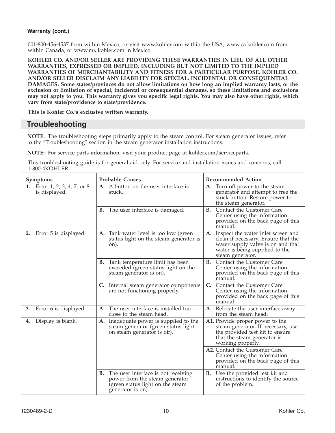#### **Warranty (cont.)**

001-800-456-4537 from within Mexico, or visit www.kohler.com within the USA, www.ca.kohler.com from within Canada, or www.mx.kohler.com in Mexico.

**KOHLER CO. AND/OR SELLER ARE PROVIDING THESE WARRANTIES IN LIEU OF ALL OTHER WARRANTIES, EXPRESSED OR IMPLIED, INCLUDING BUT NOT LIMITED TO THE IMPLIED WARRANTIES OF MERCHANTABILITY AND FITNESS FOR A PARTICULAR PURPOSE. KOHLER CO. AND/OR SELLER DISCLAIM ANY LIABILITY FOR SPECIAL, INCIDENTAL OR CONSEQUENTIAL DAMAGES. Some states/provinces do not allow limitations on how long an implied warranty lasts, or the exclusion or limitation of special, incidental or consequential damages, so these limitations and exclusions may not apply to you. This warranty gives you specific legal rights. You may also have other rights, which vary from state/providence to state/providence.**

**This is Kohler Co.'s exclusive written warranty.**

## **Troubleshooting**

**NOTE:** The troubleshooting steps primarily apply to the steam control. For steam generator issues, refer to the ″Troubleshooting″ section in the steam generator installation instructions.

**NOTE:** For service parts information, visit your product page at kohler.com/serviceparts.

This troubleshooting guide is for general aid only. For service and installation issues and concerns, call 1-800-4KOHLER.

| Symptoms                                      | <b>Probable Causes</b>                                                                                                               | <b>Recommended Action</b>                                                                                                                                               |
|-----------------------------------------------|--------------------------------------------------------------------------------------------------------------------------------------|-------------------------------------------------------------------------------------------------------------------------------------------------------------------------|
| 1. Error 1, 2, 3, 4, 7, or 8<br>is displayed. | A. A button on the user interface is<br>stuck.                                                                                       | Turn off power to the steam<br>A.<br>generator and attempt to free the<br>stuck button. Restore power to<br>the steam generator.                                        |
|                                               | <b>B.</b> The user interface is damaged.                                                                                             | Contact the Customer Care<br><b>B.</b><br>Center using the information<br>provided on the back page of this<br>manual.                                                  |
| Error 5 is displayed.<br>2.                   | Tank water level is too low (green<br>A.<br>status light on the steam generator is<br>on).                                           | A. Inspect the water inlet screen and<br>clean if necessary. Ensure that the<br>water supply valve is on and that<br>water is being supplied to the<br>steam generator. |
|                                               | Tank temperature limit has been<br>В.<br>exceeded (green status light on the<br>steam generator is on).                              | <b>B.</b> Contact the Customer Care<br>Center using the information<br>provided on the back page of this<br>manual.                                                     |
|                                               | C. Internal steam generator components<br>are not functioning properly.                                                              | C. Contact the Customer Care<br>Center using the information<br>provided on the back page of this<br>manual.                                                            |
| Error 6 is displayed.<br>3.                   | A. The user interface is installed too<br>close to the steam head.                                                                   | A. Relocate the user interface away<br>from the steam head.                                                                                                             |
| Display is blank.<br>4.                       | A. Inadequate power is supplied to the<br>steam generator (green status light<br>on steam generator is off).                         | A1. Provide proper power to the<br>steam generator. If necessary, use<br>the provided test kit to ensure<br>that the steam generator is<br>working properly.            |
|                                               |                                                                                                                                      | A2. Contact the Customer Care<br>Center using the information<br>provided on the back page of this<br>manual.                                                           |
|                                               | The user interface is not receiving<br>В.<br>power from the steam generator<br>(green status light on the steam<br>generator is on). | <b>B.</b> Use the provided test kit and<br>instructions to identify the source<br>of the problem.                                                                       |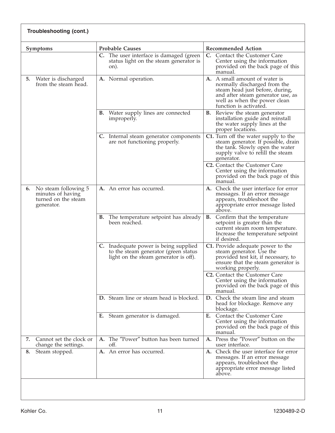| Troubleshooting (cont.) |                                                                                          |                                                                                                                        |                                                                                                                                                                                                 |
|-------------------------|------------------------------------------------------------------------------------------|------------------------------------------------------------------------------------------------------------------------|-------------------------------------------------------------------------------------------------------------------------------------------------------------------------------------------------|
|                         | <b>Symptoms</b>                                                                          | <b>Probable Causes</b>                                                                                                 | <b>Recommended Action</b>                                                                                                                                                                       |
|                         |                                                                                          | C. The user interface is damaged (green<br>status light on the steam generator is<br>on).                              | Contact the Customer Care<br>C.<br>Center using the information<br>provided on the back page of this<br>manual.                                                                                 |
| 5.                      | Water is discharged<br>from the steam head.                                              | A. Normal operation.                                                                                                   | A. A small amount of water is<br>normally discharged from the<br>steam head just before, during,<br>and after steam generator use, as<br>well as when the power clean<br>function is activated. |
|                         |                                                                                          | Water supply lines are connected<br>В.<br>improperly.                                                                  | <b>B.</b> Review the steam generator<br>installation guide and reinstall<br>the water supply lines at the<br>proper locations.                                                                  |
|                         |                                                                                          | C. Internal steam generator components<br>are not functioning properly.                                                | C1. Turn off the water supply to the<br>steam generator. If possible, drain<br>the tank. Slowly open the water<br>supply valve to refill the steam<br>generator.                                |
|                         |                                                                                          |                                                                                                                        | <b>C2.</b> Contact the Customer Care<br>Center using the information<br>provided on the back page of this<br>manual.                                                                            |
|                         | <b>6.</b> No steam following 5<br>minutes of having<br>turned on the steam<br>generator. | A. An error has occurred.                                                                                              | A. Check the user interface for error<br>messages. If an error message<br>appears, troubleshoot the<br>appropriate error message listed<br>above.                                               |
|                         |                                                                                          | The temperature setpoint has already<br>В.<br>been reached.                                                            | В.<br>Confirm that the temperature<br>setpoint is greater than the<br>current steam room temperature.<br>Increase the temperature setpoint<br>if desired.                                       |
|                         |                                                                                          | C. Inadequate power is being supplied<br>to the steam generator (green status<br>light on the steam generator is off). | C1. Provide adequate power to the<br>steam generator. Use the<br>provided test kit, if necessary, to<br>ensure that the steam generator is<br>working properly.                                 |
|                         |                                                                                          |                                                                                                                        | C2. Contact the Customer Care<br>Center using the information<br>provided on the back page of this<br>manual.                                                                                   |
|                         |                                                                                          | D. Steam line or steam head is blocked.                                                                                | D. Check the steam line and steam<br>head for blockage. Remove any<br>blockage.                                                                                                                 |
|                         |                                                                                          | E. Steam generator is damaged.                                                                                         | Contact the Customer Care<br>Е.<br>Center using the information<br>provided on the back page of this<br>manual.                                                                                 |
| 7.                      | Cannot set the clock or<br>change the settings.                                          | The "Power" button has been turned<br>A.<br>off.                                                                       | A. Press the "Power" button on the<br>user interface.                                                                                                                                           |
| 8.                      | Steam stopped.                                                                           | A. An error has occurred.                                                                                              | A. Check the user interface for error<br>messages. If an error message<br>appears, troubleshoot the<br>appropriate error message listed<br>above.                                               |
|                         |                                                                                          |                                                                                                                        |                                                                                                                                                                                                 |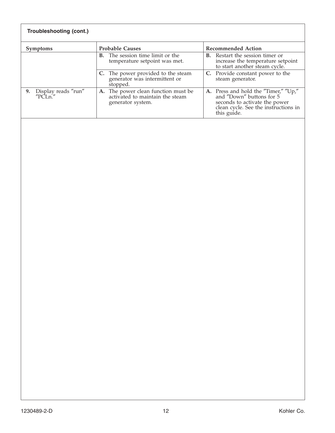| Troubleshooting (cont.)           |                                                                                          |                                                                                                                                                          |  |
|-----------------------------------|------------------------------------------------------------------------------------------|----------------------------------------------------------------------------------------------------------------------------------------------------------|--|
| <b>Symptoms</b>                   | <b>Probable Causes</b>                                                                   | <b>Recommended Action</b>                                                                                                                                |  |
|                                   | <b>B.</b> The session time limit or the<br>temperature setpoint was met.                 | <b>B.</b> Restart the session timer or<br>increase the temperature setpoint<br>to start another steam cycle.                                             |  |
|                                   | C. The power provided to the steam<br>generator was intermittent or<br>stopped.          | C. Provide constant power to the<br>steam generator.                                                                                                     |  |
| 9. Display reads "run"<br>"PCLn." | A. The power clean function must be activated to maintain the steam<br>generator system. | A. Press and hold the "Timer," "Up,"<br>and "Down" buttons for 5<br>seconds to activate the power<br>clean cycle. See the instructions in<br>this guide. |  |
|                                   |                                                                                          |                                                                                                                                                          |  |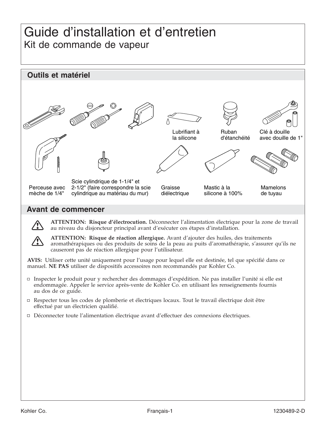## Guide d'installation et d'entretien Kit de commande de vapeur



#### **Avant de commencer**



**ATTENTION: Risque d'électrocution.** Déconnecter l'alimentation électrique pour la zone de travail au niveau du disjoncteur principal avant d'exécuter ces étapes d'installation.

**ATTENTION: Risque de réaction allergique.** Avant d'ajouter des huiles, des traitements aromathérapiques ou des produits de soins de la peau au puits d'aromathérapie, s'assurer qu'ils ne causeront pas de réaction allergique pour l'utilisateur.

**AVIS:** Utiliser cette unité uniquement pour l'usage pour lequel elle est destinée, tel que spécifié dans ce manuel. **NE PAS** utiliser de dispositifs accessoires non recommandés par Kohler Co.

- Inspecter le produit pour y rechercher des dommages d'expédition. Ne pas installer l'unité si elle est endommagée. Appeler le service après-vente de Kohler Co. en utilisant les renseignements fournis au dos de ce guide.
- Respecter tous les codes de plomberie et électriques locaux. Tout le travail électrique doit être effectué par un électricien qualifié.
- Déconnecter toute l'alimentation électrique avant d'effectuer des connexions électriques.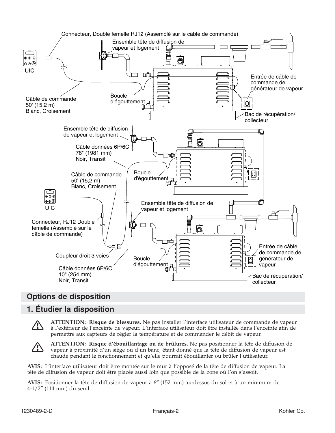

## **Options de disposition**

## **1. Étudier la disposition**

**ATTENTION: Risque de blessures.** Ne pas installer l'interface utilisateur de commande de vapeur à l'extérieur de l'enceinte de vapeur. L'interface utilisateur doit être installée dans l'enceinte afin de permettre aux capteurs de régler la température et de commander le débit de vapeur.



**ATTENTION: Risque d'ébouillantage ou de brûlures.** Ne pas positionner la tête de diffusion de vapeur à proximité d'un siège ou d'un banc, étant donné que la tête de diffusion de vapeur est chaude pendant le fonctionnement et qu'elle pourrait ébouillanter ou brûler l'utilisateur.

**AVIS:** L'interface utilisateur doit être montée sur le mur à l'opposé de la tête de diffusion de vapeur. La tête de diffusion de vapeur doit être placée aussi loin que possible de la zone où l'on s'assoit.

**AVIS:** Positionner la tête de diffusion de vapeur à 6″ (152 mm) au-dessus du sol et à un minimum de 4-1/2″ (114 mm) du seuil.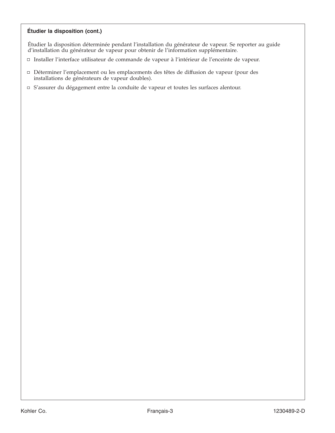#### **Étudier la disposition (cont.)**

Étudier la disposition déterminée pendant l'installation du générateur de vapeur. Se reporter au guide d'installation du générateur de vapeur pour obtenir de l'information supplémentaire.

- Installer l'interface utilisateur de commande de vapeur à l'intérieur de l'enceinte de vapeur.
- Déterminer l'emplacement ou les emplacements des têtes de diffusion de vapeur (pour des installations de générateurs de vapeur doubles).
- S'assurer du dégagement entre la conduite de vapeur et toutes les surfaces alentour.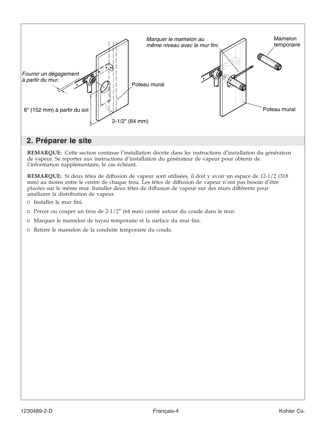

## **2. Préparer le site**

**REMARQUE:** Cette section continue l'installation décrite dans les instructions d'installation du générateur de vapeur. Se reporter aux instructions d'installation du générateur de vapeur pour obtenir de l'information supplémentaire, le cas échéant.

**REMARQUE:** Si deux têtes de diffusion de vapeur sont utilisées, il doit y avoir un espace de 12-1/2 (318 mm) au moins entre le centre de chaque trou. Les têtes de diffusion de vapeur n'ont pas besoin d'être placées sur le même mur. Installer deux têtes de diffusion de vapeur sur des murs différents pour améliorer la distribution de vapeur.

- $\Box$  Installer le mur fini.
- Percer ou couper un trou de  $2-1/2$ " (64 mm) centré autour du coude dans le mur.
- Marquer le mamelon de tuyau temporaire et la surface du mur fini.
- Retirer le mamelon de la conduite temporaire du coude.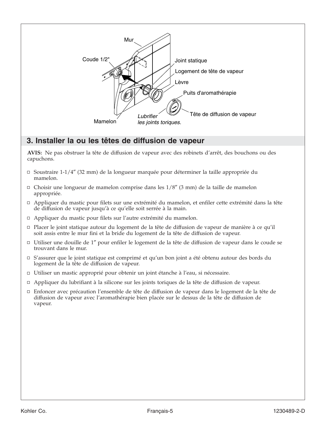

## **3. Installer la ou les têtes de diffusion de vapeur**

**AVIS:** Ne pas obstruer la tête de diffusion de vapeur avec des robinets d'arrêt, des bouchons ou des capuchons.

- $\Box$  Soustraire 1-1/4" (32 mm) de la longueur marquée pour déterminer la taille appropriée du mamelon.
- $\Box$  Choisir une longueur de mamelon comprise dans les  $1/8''$  (3 mm) de la taille de mamelon appropriée.
- Appliquer du mastic pour filets sur une extrémité du mamelon, et enfiler cette extrémité dans la tête de diffusion de vapeur jusqu'à ce qu'elle soit serrée à la main.
- Appliquer du mastic pour filets sur l'autre extrémité du mamelon.
- Placer le joint statique autour du logement de la tête de diffusion de vapeur de manière à ce qu'il soit assis entre le mur fini et la bride du logement de la tête de diffusion de vapeur.
- Utiliser une douille de 1″ pour enfiler le logement de la tête de diffusion de vapeur dans le coude se trouvant dans le mur.
- S'assurer que le joint statique est comprimé et qu'un bon joint a été obtenu autour des bords du logement de la tête de diffusion de vapeur.
- Utiliser un mastic approprié pour obtenir un joint étanche à l'eau, si nécessaire.
- Appliquer du lubrifiant à la silicone sur les joints toriques de la tête de diffusion de vapeur.
- Enfoncer avec précaution l'ensemble de tête de diffusion de vapeur dans le logement de la tête de diffusion de vapeur avec l'aromathérapie bien placée sur le dessus de la tête de diffusion de vapeur.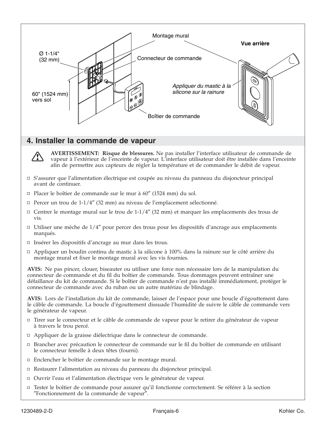

## **4. Installer la commande de vapeur**

**AVERTISSEMENT: Risque de blessures.** Ne pas installer l'interface utilisateur de commande de vapeur à l'extérieur de l'enceinte de vapeur. L'interface utilisateur doit être installée dans l'enceinte afin de permettre aux capteurs de régler la température et de commander le débit de vapeur.

- S'assurer que l'alimentation électrique est coupée au niveau du panneau du disjoncteur principal avant de continuer.
- $\Box$  Placer le boîtier de commande sur le mur à 60" (1524 mm) du sol.
- $\Box$  Percer un trou de 1-1/4" (32 mm) au niveau de l'emplacement sélectionné.
- $\Box$  Centrer le montage mural sur le trou de 1-1/4" (32 mm) et marquer les emplacements des trous de vis.
- $\Box$  Utiliser une mèche de  $1/4''$  pour percer des trous pour les dispositifs d'ancrage aux emplacements marqués.
- □ Insérer les dispositifs d'ancrage au mur dans les trous.
- Appliquer un boudin continu de mastic à la silicone à 100% dans la rainure sur le côté arrière du montage mural et fixer le montage mural avec les vis fournies.

**AVIS:** Ne pas pincer, clouer, biseauter ou utiliser une force non nécessaire lors de la manipulation du connecteur de commande et du fil du boîtier de commande. Tous dommages peuvent entraîner une défaillance du kit de commande. Si le boîtier de commande n'est pas installé immédiatement, protéger le connecteur de commande avec du ruban ou un autre matériau de blindage.

**AVIS:** Lors de l'installation du kit de commande, laisser de l'espace pour une boucle d'égouttement dans le câble de commande. La boucle d'égouttement dissuade l'humidité de suivre le câble de commande vers le générateur de vapeur.

- Tirer sur le connecteur et le câble de commande de vapeur pour le retirer du générateur de vapeur à travers le trou percé.
- □ Appliquer de la graisse diélectrique dans le connecteur de commande.
- Brancher avec précaution le connecteur de commande sur le fil du boîtier de commande en utilisant le connecteur femelle à deux têtes (fourni).
- □ Enclencher le boîtier de commande sur le montage mural.
- Restaurer l'alimentation au niveau du panneau du disjoncteur principal.
- Ouvrir l'eau et l'alimentation électrique vers le générateur de vapeur.
- □ Tester le boîtier de commande pour assurer qu'il fonctionne correctement. Se référer à la section ″Fonctionnement de la commande de vapeur″.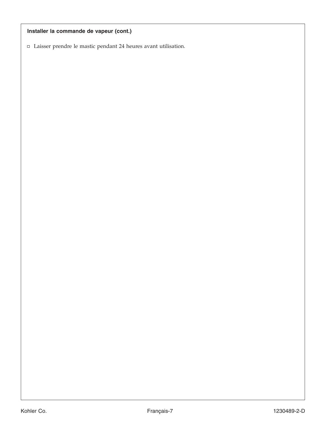## **Installer la commande de vapeur (cont.)**

Laisser prendre le mastic pendant 24 heures avant utilisation.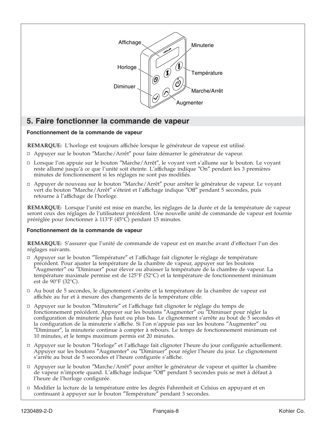

## **5. Faire fonctionner la commande de vapeur**

#### **Fonctionnement de la commande de vapeur**

**REMARQUE:** L'horloge est toujours affichée lorsque le générateur de vapeur est utilisé.

- Appuyer sur le bouton ″Marche/Arrêt″ pour faire démarrer le générateur de vapeur.
- Lorsque l'on appuie sur le bouton ″Marche/Arrêt″, le voyant vert s'allume sur le bouton. Le voyant reste allumé jusqu'à ce que l'unité soit éteinte. L'affichage indique ″On″ pendant les 3 premières minutes de fonctionnement si les réglages ne sont pas modifiés.
- Appuyer de nouveau sur le bouton ″Marche/Arrêt″ pour arrêter le générateur de vapeur. Le voyant vert du bouton ″Marche/Arrêt″ s'éteint et l'affichage indique ″Off″ pendant 5 secondes, puis retourne à l'affichage de l'horloge.

**REMARQUE:** Lorsque l'unité est mise en marche, les réglages de la durée et de la température de vapeur seront ceux des réglages de l'utilisateur précédent. Une nouvelle unité de commande de vapeur est fournie préréglée pour fonctionner à 113°F (45°C) pendant 15 minutes.

#### **Fonctionnement de la commande de vapeur**

**REMARQUE:** S'assurer que l'unité de commande de vapeur est en marche avant d'effectuer l'un des réglages suivants.

- Appuyer sur le bouton ″Température″ et l'affichage fait clignoter le réglage de température précédent. Pour ajuster la température de la chambre de vapeur, appuyer sur les boutons ″Augmenter″ ou ″Diminuer″ pour élever ou abaisser la température de la chambre de vapeur. La température maximale permise est de 125°F (52°C) et la température de fonctionnement minimum est de 90°F (32°C).
- Au bout de 5 secondes, le clignotement s'arrête et la température de la chambre de vapeur est affichée au fur et à mesure des changements de la température cible.
- Appuyer sur le bouton ″Minuterie″ et l'affichage fait clignoter le réglage du temps de fonctionnement précédent. Appuyer sur les boutons ″Augmenter″ ou ″Diminuer pour régler la configuration de minuterie plus haut ou plus bas. Le clignotement s'arrête au bout de 5 secondes et la configuration de la minuterie s'affiche. Si l'on n'appuie pas sur les boutons ″Augmenter″ ou ″Diminuer″, la minuterie continue à compter à rebours. Le temps de fonctionnement minimum est 10 minutes, et le temps maximum permis est 20 minutes.
- Appuyer sur le bouton ″Horloge″ et l'affichage fait clignoter l'heure du jour configurée actuellement. Appuyer sur les boutons ″Augmenter″ ou ″Diminuer″ pour régler l'heure du jour. Le clignotement s'arrête au bout de 5 secondes et l'heure configurée s'affiche.
- □ Appuyer sur le bouton "Marche/Arrêt" pour arrêter le générateur de vapeur et quitter la chambre de vapeur n'importe quand. L'affichage indique ″Off″ pendant 5 secondes puis se met à défaut à l'heure de l'horloge configurée.
- Modifier la lecture de la température entre les degrés Fahrenheit et Celsius en appuyant et en continuant à appuyer sur le bouton ″Température″ pendant 3 secondes.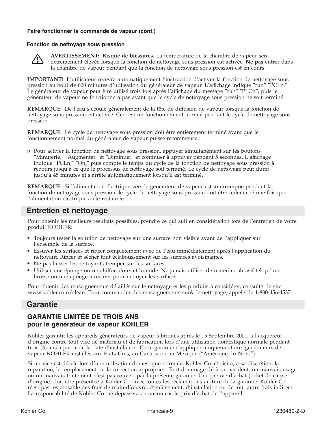#### **Faire fonctionner la commande de vapeur (cont.)**

#### **Fonction de nettoyage sous pression**



**AVERTISSEMENT: Risque de blessures.** La température de la chambre de vapeur sera extrêmement élevée lorsque la fonction de nettoyage sous pression est activée. **Ne pas** entrer dans la chambre de vapeur pendant que la fonction de nettoyage sous pression est en cours.

**IMPORTANT!** L'utilisateur recevra automatiquement l'instruction d'activer la fonction de nettoyage sous pression au bout de 600 minutes d'utilisation du générateur de vapeur. L'affichage indique "run" "PCLn." Le générateur de vapeur peut être utilisé trois fois après l'affichage du message ″run″ ″PLCn″, puis le générateur de vapeur ne fonctionnera pas avant que le cycle de nettoyage sous pression ne soit terminé.

**REMARQUE:** De l'eau s'écoule généralement de la tête de diffusion de vapeur lorsque la fonction de nettoyage sous pression est activée. Ceci est un fonctionnement normal pendant le cycle de nettoyage sous pression.

**REMARQUE:** Le cycle de nettoyage sous pression doit être entièrement terminé avant que le fonctionnement normal du générateur de vapeur puisse recommencer.

Pour activer la fonction de nettoyage sous pression, appuyer simultanément sur les boutons ″Minuterie,″ ″Augmenter″ et ″Diminuer″ et continuer à appuyer pendant 5 secondes. L'affichage indique ″PCLn,″ ″On,″ puis compte le temps du cycle de la fonction de nettoyage sous pression à rebours jusqu'à ce que le processus de nettoyage soit terminé. Le cycle de nettoyage peut durer jusqu'à 45 minutes et s'arrête automatiquement lorsqu'il est terminé.

**REMARQUE:** Si l'alimentation électrique vers le générateur de vapeur est interrompue pendant la fonction de nettoyage sous pression, le cycle de nettoyage sous pression doit être redémarré une fois que l'alimentation électrique a été restaurée.

## **Entretien et nettoyage**

Pour obtenir les meilleurs résultats possibles, prendre ce qui suit en considération lors de l'entretien de votre produit KOHLER:

- Toujours tester la solution de nettoyage sur une surface non visible avant de l'appliquer sur l'ensemble de la surface.
- Essuyer les surfaces et rincer complètement avec de l'eau immédiatement après l'application du nettoyant. Rincer et sécher tout éclaboussement sur les surfaces avoisinantes.
- Ne pas laisser les nettoyants tremper sur les surfaces.
- Utiliser une éponge ou un chiffon doux et humide. Ne jamais utiliser de matériau abrasif tel qu'une brosse ou une éponge à récurer pour nettoyer les surfaces.

Pour obtenir des renseignements détaillés sur le nettoyage et les produits à considérer, consulter le site www.kohler.com/clean. Pour commander des renseignements sur& le nettoyage, appeler le 1-800-456-4537.

## **Garantie**

## **GARANTIE LIMITÉE DE TROIS ANS pour le générateur de vapeur KOHLER**

Kohler garantit les appareils générateurs de vapeur fabriqués après le 15 Septembre 2001, à l'acquéreur d'origine contre tout vice de matériau et de fabrication lors d'une utilisation domestique normale pendant trois (3) ans à partir de la date d'installation. Cette garantie s'applique uniquement aux générateurs de vapeur KOHLER installés aux États-Unis, au Canada ou au Mexique (″Amérique du Nord″).

Si un vice est décelé lors d'une utilisation domestique normale, Kohler Co. choisira, à sa discrétion, la réparation, le remplacement ou la correction appropriée. Tout dommage dû à un accident, un mauvais usage ou un mauvais traitement n'est pas couvert par la présente garantie. Une preuve d'achat (ticket de caisse d'origine) doit être présentée à Kohler Co. avec toutes les réclamations au titre de la garantie. Kohler Co. n'est pas responsable des frais de main-d'œuvre, d'enlèvement, d'installation ou de tout autre frais indirect. La responsabilité de Kohler Co. ne dépassera en aucun cas le prix d'achat de l'appareil.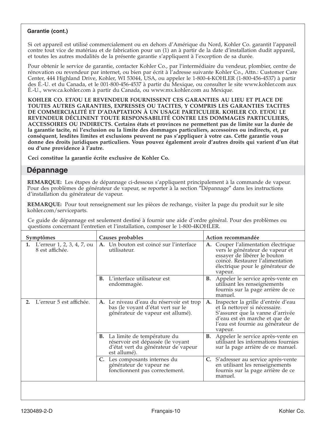#### **Garantie (cont.)**

Si cet appareil est utilisé commercialement ou en dehors d'Amérique du Nord, Kohler Co. garantit l'appareil contre tout vice de matériau et de fabrication pour un (1) an à partir de la date d'installation dudit appareil, et toutes les autres modalités de la présente garantie s'appliquent à l'exception de sa durée.

Pour obtenir le service de garantie, contacter Kohler Co., par l'intermédiaire du vendeur, plombier, centre de rénovation ou revendeur par internet, ou bien par écrit à l'adresse suivante Kohler Co., Attn.: Customer Care Center, 444 Highland Drive, Kohler, WI 53044, USA, ou appeler le 1-800-4-KOHLER (1-800-456-4537) à partir des É.-U. et du Canada, et le 001-800-456-4537 à partir du Mexique, ou consulter le site www.kohler.com aux É.-U., www.ca.kohler.com à partir du Canada, ou www.mx.kohler.com au Mexique.

**KOHLER CO. ET/OU LE REVENDEUR FOURNISSENT CES GARANTIES AU LIEU ET PLACE DE TOUTES AUTRES GARANTIES, EXPRESSES OU TACITES, Y COMPRIS LES GARANTIES TACITES DE COMMERCIALITÉ ET D'ADAPTATION À UN USAGE PARTICULIER. KOHLER CO. ET/OU LE REVENDEUR DÉCLINENT TOUTE RESPONSABILITÉ CONTRE LES DOMMAGES PARTICULIERS, ACCESSOIRES OU INDIRECTS. Certains états et provinces ne permettent pas de limite sur la durée de la garantie tacite, ni l'exclusion ou la limite des dommages particuliers, accessoires ou indirects, et, par conséquent, lesdites limites et exclusions peuvent ne pas s'appliquer à votre cas. Cette garantie vous donne des droits juridiques particuliers. Vous pouvez également avoir d'autres droits qui varient d'un état ou d'une providence à l'autre.**

**Ceci constitue la garantie écrite exclusive de Kohler Co.**

#### **Dépannage**

**REMARQUE:** Les étapes de dépannage ci-dessous s'appliquent principalement à la commande de vapeur. Pour des problèmes de générateur de vapeur, se reporter à la section ″Dépannage″ dans les instructions d'installation du générateur de vapeur.

**REMARQUE:** Pour tout renseignement sur les pièces de rechange, visiter la page du produit sur le site kohler.com/serviceparts.

Ce guide de dépannage est seulement destiné à fournir une aide d'ordre général. Pour des problèmes ou questions concernant l'entretien et l'installation, composer le 1-800-4KOHLER.

| Symptômes                                               | Causes probables                                                                                                                  | Action recommandée                                                                                                                                                                           |
|---------------------------------------------------------|-----------------------------------------------------------------------------------------------------------------------------------|----------------------------------------------------------------------------------------------------------------------------------------------------------------------------------------------|
| <b>1.</b> L'erreur 1, 2, 3, 4, 7, ou<br>8 est affichée. | A. Un bouton est coincé sur l'interface<br>utilisateur.                                                                           | Couper l'alimentation électrique<br>A.<br>vers le générateur de vapeur et<br>essayer de libérer le bouton<br>coincé. Restaurer l'alimentation<br>électrique pour le générateur de<br>vapeur. |
|                                                         | L'interface utilisateur est<br>В.<br>endommagée.                                                                                  | Appeler le service après-vente en<br>В.<br>utilisant les renseignements<br>fournis sur la page arrière de ce<br>manuel.                                                                      |
| L'erreur 5 est affichée.                                | A. Le niveau d'eau du réservoir est trop<br>bas (le voyant d'état vert sur le<br>générateur de vapeur est allumé).                | A. Inspecter la grille d'entrée d'eau<br>et la nettoyer si nécessaire.<br>S'assurer que la vanne d'arrivée<br>d'eau est en marche et que de<br>l'eau est fournie au générateur de<br>vapeur. |
|                                                         | <b>B.</b> La limite de température du<br>réservoir est dépassée (le voyant<br>d'état vert du générateur de vapeur<br>est allumé). | Appeler le service après-vente en<br>В.<br>utilisant les informations fournies<br>sur la page arrière de ce manuel.                                                                          |
|                                                         | C. Les composants internes du<br>générateur de vapeur ne<br>fonctionnent pas correctement.                                        | C. S'adresser au service après-vente<br>en utilisant les renseignements<br>fournis sur la page arrière de ce<br>manuel.                                                                      |
|                                                         |                                                                                                                                   |                                                                                                                                                                                              |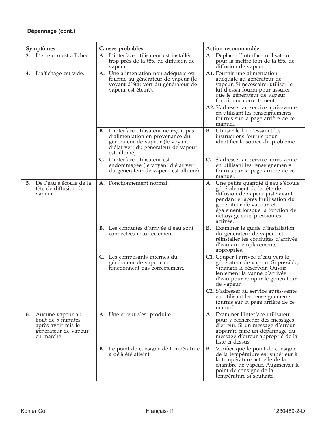| Dépannage (cont.) |                                                                                                      |                                                                                                                                                                              |                                                                                                                                                                                                                                                                                                                           |
|-------------------|------------------------------------------------------------------------------------------------------|------------------------------------------------------------------------------------------------------------------------------------------------------------------------------|---------------------------------------------------------------------------------------------------------------------------------------------------------------------------------------------------------------------------------------------------------------------------------------------------------------------------|
|                   | Symptômes                                                                                            | Causes probables                                                                                                                                                             | Action recommandée                                                                                                                                                                                                                                                                                                        |
|                   | 3. L'erreur 6 est affichée.                                                                          | A. L'interface utilisateur est installée<br>trop près de la tête de diffusion de<br>vapeur.                                                                                  | A. Déplacer l'interface utilisateur<br>pour la mettre loin de la tête de<br>diffusion de vapeur.                                                                                                                                                                                                                          |
| 4.                | L'affichage est vide.                                                                                | A. Une alimentation non adéquate est<br>fournie au générateur de vapeur (le<br>voyant d'état vert du générateur de<br>vapeur est éteint).                                    | A1. Fournir une alimentation<br>adéquate au générateur de<br>vapeur. Si nécessaire, utiliser le<br>kit d'essai fourni pour assurer<br>que le générateur de vapeur<br>fonctionne correctement.<br>A2. S'adresser au service après-vente<br>en utilisant les renseignements<br>fournis sur la page arrière de ce<br>manuel. |
|                   |                                                                                                      | <b>B.</b> L'interface utilisateur ne reçoit pas<br>d'alimentation en provenance du<br>générateur de vapeur (le voyant<br>d'état vert du générateur de vapeur<br>est allumé). | <b>B.</b> Utiliser le kit d'essai et les<br>instructions fournis pour<br>identifier la source du problème.                                                                                                                                                                                                                |
|                   |                                                                                                      | L'interface utilisateur est<br>C.<br>endommagée (le voyant d'état vert<br>du générateur de vapeur est allumé).                                                               | C. S'adresser au service après-vente<br>en utilisant les renseignements<br>fournis sur la page arrière de ce<br>manuel.                                                                                                                                                                                                   |
| 5.                | De l'eau s'écoule de la<br>tête de diffusion de<br>vapeur.                                           | A. Fonctionnement normal.                                                                                                                                                    | A. Une petite quantité d'eau s'écoule<br>généralement de la tête de<br>diffusion de vapeur juste avant,<br>pendant et après l'utilisation du<br>générateur de vapeur, et<br>également lorsque la fonction de<br>nettoyage sous pression est<br>activée.                                                                   |
|                   |                                                                                                      | B. Les conduites d'arrivée d'eau sont<br>connectées incorrectement.                                                                                                          | <b>B.</b> Examiner le guide d'installation<br>du générateur de vapeur et<br>réinstaller les conduites d'arrivée<br>d'eau aux emplacements<br>appropriés.                                                                                                                                                                  |
|                   |                                                                                                      | C. Les composants internes du<br>générateur de vapeur ne<br>fonctionnent pas correctement.                                                                                   | C1. Couper l'arrivée d'eau vers le<br>générateur de vapeur. Si possible,<br>vidanger le réservoir. Ouvrir<br>lentement la vanne d'arrivée<br>d'eau pour remplir le générateur<br>de vapeur.                                                                                                                               |
|                   |                                                                                                      |                                                                                                                                                                              | C2. S'adresser au service après-vente<br>en utilisant les renseignements<br>fournis sur la page arrière de ce<br>manuel.                                                                                                                                                                                                  |
|                   | 6. Aucune vapeur au<br>bout de 5 minutes<br>après avoir mis le<br>générateur de vapeur<br>en marche. | A. Une erreur s'est produite.                                                                                                                                                | A. Examiner l'interface utilisateur<br>pour y rechercher des messages<br>d'erreur. Si un message d'erreur<br>apparaît, faire un dépannage du<br>message d'erreur approprié de la<br>liste ci-dessus.                                                                                                                      |
|                   |                                                                                                      | Le point de consigne de température<br>В.<br>a déjà été atteint.                                                                                                             | Vérifier que le point de consigne<br>В.<br>de la température est supérieur à<br>la température actuelle de la<br>chambre de vapeur. Augmenter le<br>point de consigne de la<br>température si souhaité.                                                                                                                   |
|                   |                                                                                                      |                                                                                                                                                                              |                                                                                                                                                                                                                                                                                                                           |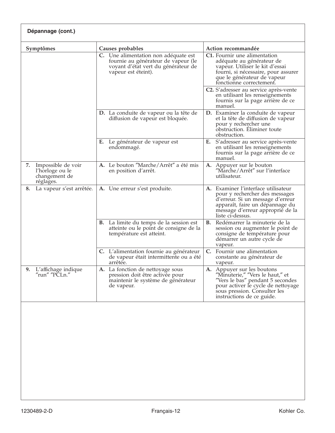| Symptômes                                                                 | Causes probables                                                                                                                          | Action recommandée                                                                                                                                                                                   |
|---------------------------------------------------------------------------|-------------------------------------------------------------------------------------------------------------------------------------------|------------------------------------------------------------------------------------------------------------------------------------------------------------------------------------------------------|
|                                                                           | C. Une alimentation non adéquate est<br>fournie au générateur de vapeur (le<br>voyant d'état vert du générateur de<br>vapeur est éteint). | C1. Fournir une alimentation<br>adéquate au générateur de<br>vapeur. Utiliser le kit d'essai<br>fourni, si nécessaire, pour assurer<br>que le générateur de vapeur<br>fonctionne correctement.       |
|                                                                           |                                                                                                                                           | C2. S'adresser au service après-vente<br>en utilisant les renseignements<br>fournis sur la page arrière de ce<br>manuel.                                                                             |
|                                                                           | <b>D.</b> La conduite de vapeur ou la tête de<br>diffusion de vapeur est bloquée.                                                         | D. Examiner la conduite de vapeur<br>et la tête de diffusion de vapeur<br>pour y rechercher une<br>obstruction. Eliminer toute<br>obstruction.                                                       |
|                                                                           | Le générateur de vapeur est<br>Е.<br>endommagé.                                                                                           | E. S'adresser au service après-vente<br>en utilisant les renseignements<br>fournis sur la page arrière de ce<br>manuel.                                                                              |
| Impossible de voir<br>7.<br>l'horloge ou le<br>changement de<br>réglages. | A. Le bouton "Marche/Arrêt" a été mis<br>en position d'arrêt.                                                                             | A. Appuyer sur le bouton<br>"Marche/Arrêt" sur l'interface<br>utilisateur.                                                                                                                           |
| La vapeur s'est arrêtée.<br>8.                                            | A. Une erreur s'est produite.                                                                                                             | A. Examiner l'interface utilisateur<br>pour y rechercher des messages<br>d'erreur. Si un message d'erreur<br>apparaît, faire un dépannage du<br>message d'erreur approprié de la<br>liste ci-dessus. |
|                                                                           | <b>B.</b> La limite du temps de la session est<br>atteinte ou le point de consigne de la<br>température est atteint.                      | <b>B.</b> Redémarrer la minuterie de la<br>session ou augmenter le point de<br>consigne de température pour<br>démarrer un autre cycle de<br>vapeur.                                                 |
|                                                                           | C. L'alimentation fournie au générateur<br>de vapeur était intermittente ou a été<br>arrêtée.                                             | Fournir une alimentation<br>C.<br>constante au générateur de<br>vapeur.                                                                                                                              |
| L'affichage indique<br>9.<br>"run" "PCLn."                                | A. La fonction de nettoyage sous<br>pression doit être activée pour<br>maintenir le système de générateur<br>de vapeur.                   | A. Appuyer sur les boutons<br>"Minuterie," "Vers le haut," et<br>"Vers le bas" pendant 5 secondes<br>pour activer le cycle de nettoyage<br>sous pression. Consulter les<br>instructions de ce guide. |
|                                                                           |                                                                                                                                           |                                                                                                                                                                                                      |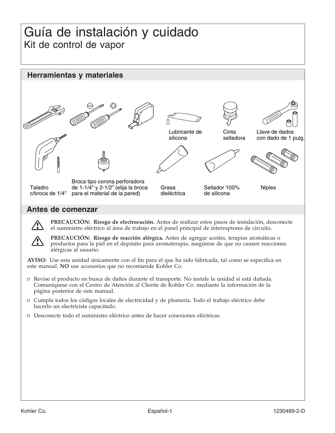## Guía de instalación y cuidado Kit de control de vapor



### **Antes de comenzar**



**PRECAUCIÓN: Riesgo de electrocución.** Antes de realizar estos pasos de instalación, desconecte el suministro eléctrico al área de trabajo en el panel principal de interruptores de circuito.

**PRECAUCIÓN: Riesgo de reacción alérgica.** Antes de agregar aceites, terapias aromáticas o productos para la piel en el depósito para aromaterapia, asegúrese de que no causen reacciones alérgicas al usuario.

**AVISO:** Use esta unidad únicamente con el fin para el que ha sido fabricada, tal como se especifica en este manual. **NO** use accesorios que no recomiende Kohler Co.

- Revise el producto en busca de daños durante el transporte. No instale la unidad si está dañada. Comuníquese con el Centro de Atención al Cliente de Kohler Co. mediante la información de la página posterior de este manual.
- Cumpla todos los códigos locales de electricidad y de plomería. Todo el trabajo eléctrico debe hacerlo un electricista capacitado.
- Desconecte todo el suministro eléctrico antes de hacer conexiones eléctricas.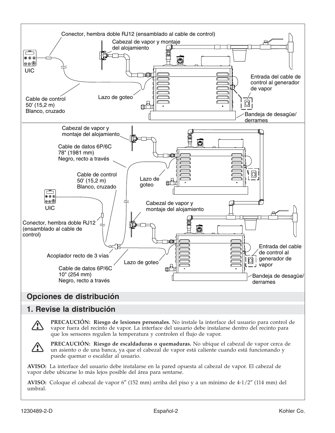

## **Opciones de distribución**

## **1. Revise la distribución**

**PRECAUCIÓN: Riesgo de lesiones personales.** No instale la interface del usuario para control de vapor fuera del recinto de vapor. La interface del usuario debe instalarse dentro del recinto para que los sensores regulen la temperatura y controlen el flujo de vapor.



**PRECAUCIÓN: Riesgo de escaldaduras o quemaduras.** No ubique el cabezal de vapor cerca de un asiento o de una banca, ya que el cabezal de vapor está caliente cuando está funcionando y puede quemar o escaldar al usuario.

**AVISO:** La interface del usuario debe instalarse en la pared opuesta al cabezal de vapor. El cabezal de vapor debe ubicarse lo más lejos posible del área para sentarse.

**AVISO:** Coloque el cabezal de vapor 6″ (152 mm) arriba del piso y a un mínimo de 4-1/2″ (114 mm) del umbral.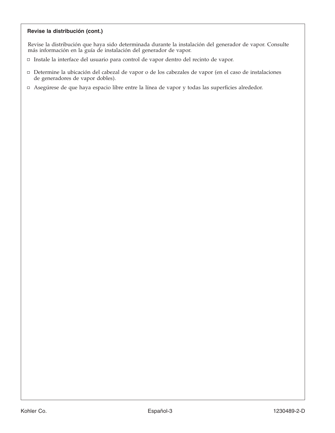#### **Revise la distribución (cont.)**

Revise la distribución que haya sido determinada durante la instalación del generador de vapor. Consulte más información en la guía de instalación del generador de vapor.

- Instale la interface del usuario para control de vapor dentro del recinto de vapor.
- Determine la ubicación del cabezal de vapor o de los cabezales de vapor (en el caso de instalaciones de generadores de vapor dobles).
- Asegúrese de que haya espacio libre entre la línea de vapor y todas las superficies alrededor.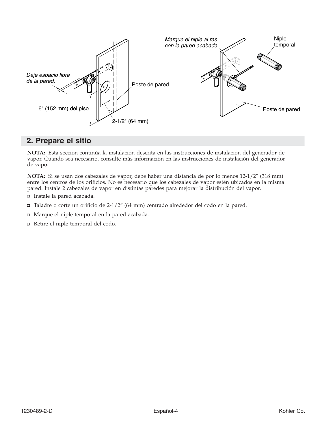

## **2. Prepare el sitio**

**NOTA:** Esta sección continúa la instalación descrita en las instrucciones de instalación del generador de vapor. Cuando sea necesario, consulte más información en las instrucciones de instalación del generador de vapor.

**NOTA:** Si se usan dos cabezales de vapor, debe haber una distancia de por lo menos 12-1/2″ (318 mm) entre los centros de los orificios. No es necesario que los cabezales de vapor estén ubicados en la misma pared. Instale 2 cabezales de vapor en distintas paredes para mejorar la distribución del vapor.

- □ Instale la pared acabada.
- $\Box$  Taladre o corte un orificio de 2-1/2" (64 mm) centrado alrededor del codo en la pared.
- Marque el niple temporal en la pared acabada.
- Retire el niple temporal del codo.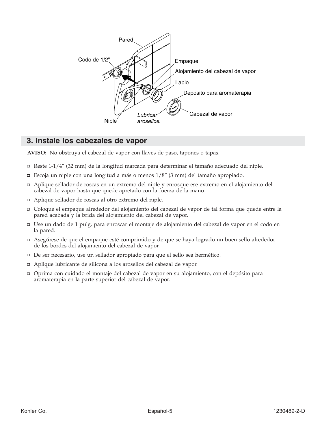

## **3. Instale los cabezales de vapor**

**AVISO:** No obstruya el cabezal de vapor con llaves de paso, tapones o tapas.

- Reste 1-1/4″ (32 mm) de la longitud marcada para determinar el tamaño adecuado del niple.
- $\Box$  Escoja un niple con una longitud a más o menos  $1/8''$  (3 mm) del tamaño apropiado.
- Aplique sellador de roscas en un extremo del niple y enrosque ese extremo en el alojamiento del cabezal de vapor hasta que quede apretado con la fuerza de la mano.
- Aplique sellador de roscas al otro extremo del niple.
- Coloque el empaque alrededor del alojamiento del cabezal de vapor de tal forma que quede entre la pared acabada y la brida del alojamiento del cabezal de vapor.
- Use un dado de 1 pulg. para enroscar el montaje de alojamiento del cabezal de vapor en el codo en la pared.
- Asegúrese de que el empaque esté comprimido y de que se haya logrado un buen sello alrededor de los bordes del alojamiento del cabezal de vapor.
- De ser necesario, use un sellador apropiado para que el sello sea hermético.
- Aplique lubricante de silicona a los arosellos del cabezal de vapor.
- Oprima con cuidado el montaje del cabezal de vapor en su alojamiento, con el depósito para aromaterapia en la parte superior del cabezal de vapor.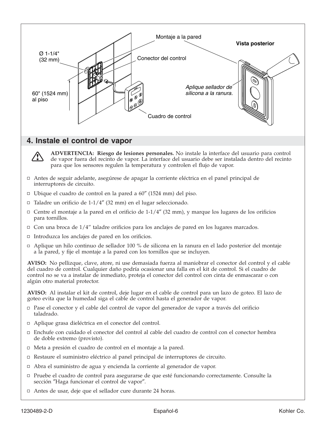

## **4. Instale el control de vapor**



**ADVERTENCIA: Riesgo de lesiones personales.** No instale la interface del usuario para control de vapor fuera del recinto de vapor. La interface del usuario debe ser instalada dentro del recinto para que los sensores regulen la temperatura y controlen el flujo de vapor.

- Antes de seguir adelante, asegúrese de apagar la corriente eléctrica en el panel principal de interruptores de circuito.
- Ubique el cuadro de control en la pared a 60″ (1524 mm) del piso.
- Taladre un orificio de 1-1/4″ (32 mm) en el lugar seleccionado.
- $\Box$  Centre el montaje a la pared en el orificio de 1-1/4" (32 mm), y marque los lugares de los orificios para tornillos.
- $\Box$  Con una broca de 1/4" taladre orificios para los anclajes de pared en los lugares marcados.
- $\Box$  Introduzca los anclajes de pared en los orificios.
- Aplique un hilo continuo de sellador 100 % de silicona en la ranura en el lado posterior del montaje a la pared, y fije el montaje a la pared con los tornillos que se incluyen.

**AVISO:** No pellizque, clave, atore, ni use demasiada fuerza al maniobrar el conector del control y el cable del cuadro de control. Cualquier daño podría ocasionar una falla en el kit de control. Si el cuadro de control no se va a instalar de inmediato, proteja el conector del control con cinta de enmascarar o con algún otro material protector.

**AVISO:** Al instalar el kit de control, deje lugar en el cable de control para un lazo de goteo. El lazo de goteo evita que la humedad siga el cable de control hasta el generador de vapor.

- Pase el conector y el cable del control de vapor del generador de vapor a través del orificio taladrado.
- Aplique grasa dieléctrica en el conector del control.
- Enchufe con cuidado el conector del control al cable del cuadro de control con el conector hembra de doble extremo (provisto).
- Meta a presión el cuadro de control en el montaje a la pared.
- Restaure el suministro eléctrico al panel principal de interruptores de circuito.
- Abra el suministro de agua y encienda la corriente al generador de vapor.
- Pruebe el cuadro de control para asegurarse de que esté funcionando correctamente. Consulte la sección ″Haga funcionar el control de vapor″.
- Antes de usar, deje que el sellador cure durante 24 horas.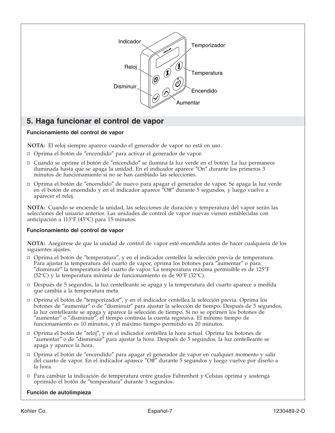

## **5. Haga funcionar el control de vapor**

#### **Funcionamiento del control de vapor**

**NOTA:** El reloj siempre aparece cuando el generador de vapor no está en uso.

- □ Oprima el botón de "encendido" para activar el generador de vapor.
- Cuando se oprime el botón de ″encendido″ se ilumina la luz verde en el botón. La luz permanece iluminada hasta que se apaga la unidad. En el indicador aparece ″On″ durante los primeros 3 minutos de funcionamiento si no se han cambiado las selecciones.
- Oprima el botón de ″encendido″ de nuevo para apagar el generador de vapor. Se apaga la luz verde en el botón de encendido y en el indicador aparece "Off" durante 5 segundos, y luego vuelve a aparecer el reloj.

**NOTA:** Cuando se enciende la unidad, las selecciones de duración y temperatura del vapor serán las selecciones del usuario anterior. Las unidades de control de vapor nuevas vienen establecidas con anticipación a 113°F (45°C) para 15 minutos.

#### **Funcionamiento del control de vapor**

**NOTA:** Asegúrese de que la unidad de control de vapor esté encendida antes de hacer cualquiera de los siguientes ajustes.

- Oprima el botón de ″temperatura″, y en el indicador centellea la selección previa de temperatura. Para ajustar la temperatura del cuarto de vapor, oprima los botones para ″aumentar″ o para ″disminuir″ la temperatura del cuarto de vapor. La temperatura máxima permisible es de 125°F (52°C) y la temperatura mínima de funcionamiento es de 90°F (32°C).
- Después de 5 segundos, la luz centelleante se apaga y la temperatura del cuarto aparece a medida que cambia a la temperatura meta.
- Oprima el botón de ″temporizador″, y en el indicador centellea la selección previa. Oprima los botones de ″aumentar″ o de ″disminuir″ para ajustar la selección de tiempo. Después de 5 segundos, la luz centelleante se apaga y aparece la selección de tiempo. Si no se oprimen los botones de ″aumentar″ o ″disminuir″, el tiempo continúa la cuenta regresiva. El mínimo tiempo de funcionamiento es 10 minutos, y el máximo tiempo permitido es 20 minutos.
- Oprima el botón de ″reloj″, y en el indicador centellea la hora actual. Oprima los botones de ″aumentar″ o de ″disminuir″ para ajustar la hora. Después de 5 segundos, la luz centelleante se apaga y aparece la hora.
- Oprima el botón de ″encendido″ para apagar el generador de vapor en cualquier momento y salir del cuarto de vapor. En el indicador aparece ″Off″ durante 5 segundos y luego vuelve por diseño a la hora.
- Para cambiar la indicación de temperatura entre grados Fahrenheit y Celsius oprima y sostenga oprimido el botón de ″temperatura″ durante 3 segundos.

#### **Función de autolimpieza**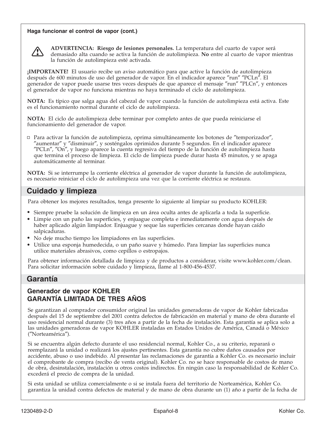#### **Haga funcionar el control de vapor (cont.)**



**ADVERTENCIA: Riesgo de lesiones personales.** La temperatura del cuarto de vapor será demasiado alta cuando se activa la función de autolimpieza. **No** entre al cuarto de vapor mientras la función de autolimpieza esté activada.

**¡IMPORTANTE!** El usuario recibe un aviso automático para que active la función de autolimpieza después de 600 minutos de uso del generador de vapor. En el indicador aparece ″run″ ″PCLn″. El generador de vapor puede usarse tres veces después de que aparece el mensaje ″run″ ″PLCn″, y entonces el generador de vapor no funciona mientras no haya terminado el ciclo de autolimpieza.

**NOTA:** Es típico que salga agua del cabezal de vapor cuando la función de autolimpieza está activa. Este es el funcionamiento normal durante el ciclo de autolimpieza.

**NOTA:** El ciclo de autolimpieza debe terminar por completo antes de que pueda reiniciarse el funcionamiento del generador de vapor.

Para activar la función de autolimpieza, oprima simultáneamente los botones de ″temporizador″, ″aumentar″ y ″disminuir″, y sosténgalos oprimidos durante 5 segundos. En el indicador aparece ″PCLn″, ″On″, y luego aparece la cuenta regresiva del tiempo de la función de autolimpieza hasta que termina el proceso de limpieza. El ciclo de limpieza puede durar hasta 45 minutos, y se apaga automáticamente al terminar.

**NOTA:** Si se interrumpe la corriente eléctrica al generador de vapor durante la función de autolimpieza, es necesario reiniciar el ciclo de autolimpieza una vez que la corriente eléctrica se restaura.

## **Cuidado y limpieza**

Para obtener los mejores resultados, tenga presente lo siguiente al limpiar su producto KOHLER:

- Siempre pruebe la solución de limpieza en un área oculta antes de aplicarla a toda la superficie.
- Limpie con un paño las superficies, y enjuague completa e inmediatamente con agua después de haber aplicado algún limpiador. Enjuague y seque las superficies cercanas donde hayan caído salpicaduras.
- No deje mucho tiempo los limpiadores en las superficies.
- Utilice una esponja humedecida, o un paño suave y húmedo. Para limpiar las superficies nunca utilice materiales abrasivos, como cepillos o estropajos.

Para obtener información detallada de limpieza y de productos a considerar, visite www.kohler.com/clean. Para solicitar información sobre cuidado y limpieza, llame al 1-800-456-4537.

### **Garantía**

#### **Generador de vapor KOHLER GARANTÍA LIMITADA DE TRES AÑOS**

Se garantizan al comprador consumidor original las unidades generadoras de vapor de Kohler fabricadas después del 15 de septiembre del 2001 contra defectos de fabricación en material y mano de obra durante el uso residencial normal durante (3) tres años a partir de la fecha de instalación. Esta garantía se aplica solo a las unidades generadoras de vapor KOHLER instaladas en Estados Unidos de América, Canadá o México (″Norteamérica″).

Si se encuentra algún defecto durante el uso residencial normal, Kohler Co., a su criterio, reparará o reemplazará la unidad o realizará los ajustes pertinentes. Esta garantía no cubre daños causados por accidente, abuso o uso indebido. Al presentar las reclamaciones de garantía a Kohler Co. es necesario incluir el comprobante de compra (recibo de venta original). Kohler Co. no se hace responsable de costos de mano de obra, desinstalación, instalación u otros costos indirectos. En ningún caso la responsabilidad de Kohler Co. excederá el precio de compra de la unidad.

Si esta unidad se utiliza comercialmente o si se instala fuera del territorio de Norteamérica, Kohler Co. garantiza la unidad contra defectos de material y de mano de obra durante un (1) año a partir de la fecha de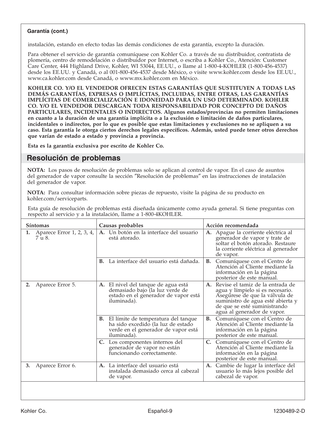#### **Garantía (cont.)**

instalación, estando en efecto todas las demás condiciones de esta garantía, excepto la duración.

Para obtener el servicio de garantía comuníquese con Kohler Co. a través de su distribuidor, contratista de plomería, centro de remodelación o distribuidor por Internet, o escriba a Kohler Co., Atención: Customer Care Center, 444 Highland Drive, Kohler, WI 53044, EE.UU., o llame al 1-800-4-KOHLER (1-800-456-4537) desde los EE.UU. y Canadá, o al 001-800-456-4537 desde México, o visite www.kohler.com desde los EE.UU., www.ca.kohler.com desde Canadá, o www.mx.kohler.com en México.

**KOHLER CO. Y/O EL VENDEDOR OFRECEN ESTAS GARANTÍAS QUE SUSTITUYEN A TODAS LAS DEMÁS GARANTÍAS, EXPRESAS O IMPLÍCITAS, INCLUIDAS, ENTRE OTRAS, LAS GARANTÍAS IMPLÍCITAS DE COMERCIALIZACIÓN E IDONEIDAD PARA UN USO DETERMINADO. KOHLER CO. Y/O EL VENDEDOR DESCARGAN TODA RESPONSABILIDAD POR CONCEPTO DE DAÑOS PARTICULARES, INCIDENTALES O INDIRECTOS. Algunos estados/provincias no permiten limitaciones en cuanto a la duración de una garantía implícita o a la exclusión o limitación de daños particulares, incidentales o indirectos, por lo que es posible que estas limitaciones y exclusiones no se apliquen a su caso. Esta garantía le otorga ciertos derechos legales específicos. Además, usted puede tener otros derechos que varían de estado a estado y provincia a provincia.**

**Esta es la garantía exclusiva por escrito de Kohler Co.**

## **Resolución de problemas**

**NOTA:** Los pasos de resolución de problemas solo se aplican al control de vapor. En el caso de asuntos del generador de vapor consulte la sección ″Resolución de problemas″ en las instrucciones de instalación del generador de vapor.

**NOTA:** Para consultar información sobre piezas de repuesto, visite la página de su producto en kohler.com/serviceparts.

Esta guía de resolución de problemas está diseñada únicamente como ayuda general. Si tiene preguntas con respecto al servicio y a la instalación, llame a 1-800-4KOHLER.

|    | Síntomas                            | Causas probables                                                                                                                          |    | Acción recomendada                                                                                                                                                                                         |
|----|-------------------------------------|-------------------------------------------------------------------------------------------------------------------------------------------|----|------------------------------------------------------------------------------------------------------------------------------------------------------------------------------------------------------------|
| 1. | Aparece Error 1, 2, 3, 4,<br>7 u 8. | A. Un botón en la interface del usuario<br>está atorado.                                                                                  | A. | Apague la corriente eléctrica al<br>generador de vapor y trate de<br>soltar el botón atorado. Restaure<br>la corriente eléctrica al generador<br>de vapor.                                                 |
|    |                                     | La interface del usuario está dañada.<br>В.                                                                                               |    | <b>B.</b> Comuníquese con el Centro de<br>Atención al Cliente mediante la<br>información en la página<br>posterior de este manual.                                                                         |
| 2. | Aparece Error 5.                    | A. El nivel del tanque de agua está<br>demasiado bajo (la luz verde de<br>estado en el generador de vapor está<br>iluminada).             | A. | Revise el tamiz de la entrada de<br>agua y límpielo si es necesario.<br>Asegúrese de que la válvula de<br>suministro de agua esté abierta y<br>de que se esté suministrando<br>agua al generador de vapor. |
|    |                                     | <b>B.</b> El límite de temperatura del tanque<br>ha sido excedido (la luz de estado<br>verde en el generador de vapor está<br>iluminada). |    | B. Comuníquese con el Centro de<br>Atención al Cliente mediante la<br>información en la página<br>posterior de este manual.                                                                                |
|    |                                     | Los componentes internos del<br>C.<br>generador de vapor no están<br>funcionando correctamente.                                           |    | C. Comuníquese con el Centro de<br>Atención al Cliente mediante la<br>información en la página<br>posterior de este manual.                                                                                |
| 3. | Aparece Error 6.                    | A. La interface del usuario está<br>instalada demasiado cerca al cabezal<br>de vapor.                                                     | A. | Cambie de lugar la interface del<br>usuario lo más lejos posible del<br>cabezal de vapor.                                                                                                                  |
|    |                                     |                                                                                                                                           |    |                                                                                                                                                                                                            |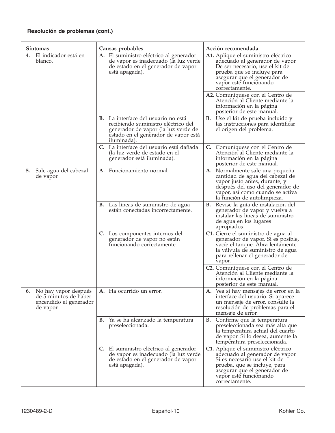| Resolución de problemas (cont.)                                                         |                                                                                                                                                                          |                                                                                                                                                                                                                     |
|-----------------------------------------------------------------------------------------|--------------------------------------------------------------------------------------------------------------------------------------------------------------------------|---------------------------------------------------------------------------------------------------------------------------------------------------------------------------------------------------------------------|
| <b>Síntomas</b>                                                                         | Causas probables                                                                                                                                                         | Acción recomendada                                                                                                                                                                                                  |
| El indicador está en<br>4.<br>blanco.                                                   | A. El suministro eléctrico al generador<br>de vapor es inadecuado (la luz verde<br>de estado en el generador de vapor<br>está apagada).                                  | A1. Aplique el suministro eléctrico<br>adecuado al generador de vapor.<br>De ser necesario, use el kit de<br>prueba que se incluye para<br>asegurar que el generador de<br>vapor esté funcionando<br>correctamente. |
|                                                                                         |                                                                                                                                                                          | A2. Comuníquese con el Centro de<br>Atención al Cliente mediante la<br>información en la página<br>posterior de este manual.                                                                                        |
|                                                                                         | B. La interface del usuario no está<br>recibiendo suministro eléctrico del<br>generador de vapor (la luz verde de<br>estado en el generador de vapor está<br>iluminada). | <b>B.</b> Use el kit de prueba incluido y<br>las instrucciones para identificar<br>el origen del problema.                                                                                                          |
|                                                                                         | C. La interface del usuario está dañada<br>(la luz verde de estado en el<br>generador está iluminada).                                                                   | C. Comuníquese con el Centro de<br>Atención al Cliente mediante la<br>información en la página<br>posterior de este manual.                                                                                         |
| Sale agua del cabezal<br>5.<br>de vapor.                                                | A. Funcionamiento normal.                                                                                                                                                | A. Normalmente sale una pequeña<br>cantidad de agua del cabezal de<br>vapor justo antes, durante, y<br>después del uso del generador de<br>vapor, así como cuando se activa<br>la función de autolimpieza.          |
|                                                                                         | <b>B.</b> Las líneas de suministro de agua<br>están conectadas incorrectamente.                                                                                          | Revise la guía de instalación del<br>В.<br>generador de vapor y vuelva a<br>instalar las líneas de suministro<br>de agua en los lugares<br>apropiados.                                                              |
|                                                                                         | C. Los componentes internos del<br>generador de vapor no están<br>funcionando correctamente.                                                                             | C1. Cierre el suministro de agua al<br>generador de vapor. Si es posible,<br>vacíe el tanque. Abra lentamente<br>la válvula de suministro de agua<br>para rellenar el generador de<br>vapor.                        |
|                                                                                         |                                                                                                                                                                          | C <sub>2</sub> . Comuníquese con el Centro de<br>Atención al Cliente mediante la<br>información en la página<br>posterior de este manual.                                                                           |
| 6. No hay vapor después<br>de 5 minutos de haber<br>encendido el generador<br>de vapor. | A. Ha ocurrido un error.                                                                                                                                                 | A. Vea si hay mensajes de error en la<br>interface del usuario. Si aparece<br>un mensaje de error, consulte la<br>resolución de problemas para el<br>mensaje de error.                                              |
|                                                                                         | <b>B.</b> Ya se ha alcanzado la temperatura<br>preseleccionada.                                                                                                          | <b>B.</b> Confirme que la temperatura<br>preseleccionada sea más alta que<br>la temperatura actual del cuarto<br>de vapor. Si lo desea, aumente la<br>temperatura preseleccionada.                                  |
|                                                                                         | C. El suministro eléctrico al generador<br>de vapor es inadecuado (la luz verde<br>de estado en el generador de vapor<br>está apagada).                                  | C1. Aplique el suministro eléctrico<br>adecuado al generador de vapor.<br>Si es necesario use el kit de<br>prueba, que se incluye, para<br>asegurar que el generador de<br>vapor esté funcionando<br>correctamente. |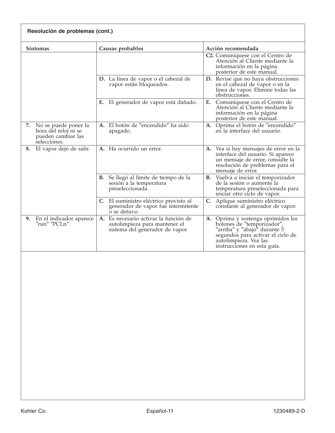| Resolución de problemas (cont.)                                                          |                                                                                                           |                                                                                                                                                                                            |
|------------------------------------------------------------------------------------------|-----------------------------------------------------------------------------------------------------------|--------------------------------------------------------------------------------------------------------------------------------------------------------------------------------------------|
| <b>Síntomas</b>                                                                          | Causas probables                                                                                          | Acción recomendada                                                                                                                                                                         |
|                                                                                          |                                                                                                           | C2. Comuníquese con el Centro de<br>Atención al Cliente mediante la<br>información en la página<br>posterior de este manual.                                                               |
|                                                                                          | D. La línea de vapor o el cabezal de<br>vapor están bloqueados.                                           | D. Revise que no haya obstrucciones<br>en el cabezal de vapor o en la<br>línea de vapor. Elimine todas las<br>obstrucciones.                                                               |
|                                                                                          | El generador de vapor está dañado.<br>Е.                                                                  | Comuníquese con el Centro de<br>Е.<br>Atención al Cliente mediante la<br>información en la página<br>posterior de este manual.                                                             |
| 7.<br>No se puede poner la<br>hora del reloj ni se<br>pueden cambiar las<br>selecciones. | A. El botón de "encendido" ha sido<br>apagado.                                                            | A. Oprima el botón de "encendido"<br>en la interface del usuario.                                                                                                                          |
| El vapor dejó de salir.<br>8.                                                            | A. Ha ocurrido un error.                                                                                  | A. Vea si hay mensajes de error en la<br>interface del usuario. Si aparece<br>un mensaje de error, consulte la<br>resolución de problemas para el<br>mensaje de error.                     |
|                                                                                          | <b>B.</b> Se llegó al límite de tiempo de la<br>sesión a la temperatura<br>preseleccionada.               | B. Vuelva a iniciar el temporizador<br>de la sesión o aumente la<br>temperatura preseleccionada para<br>iniciar otro ciclo de vapor.                                                       |
|                                                                                          | C. El suministro eléctrico provisto al<br>generador de vapor fue intermitente<br>o se detuvo.             | C. Aplique suministro eléctrico<br>constante al generador de vapor.                                                                                                                        |
| En el indicador aparece<br>9.<br>"run" "PCLn".                                           | A. Es necesario activar la función de<br>autolimpieza para mantener el<br>sistema del generador de vapor. | A. Oprima y sostenga oprimidos los botones de "temporizador",<br>"arriba" y "abajo" durante 5<br>segundos para activar el ciclo de<br>autolimpieza. Vea las<br>instrucciones en esta guía. |